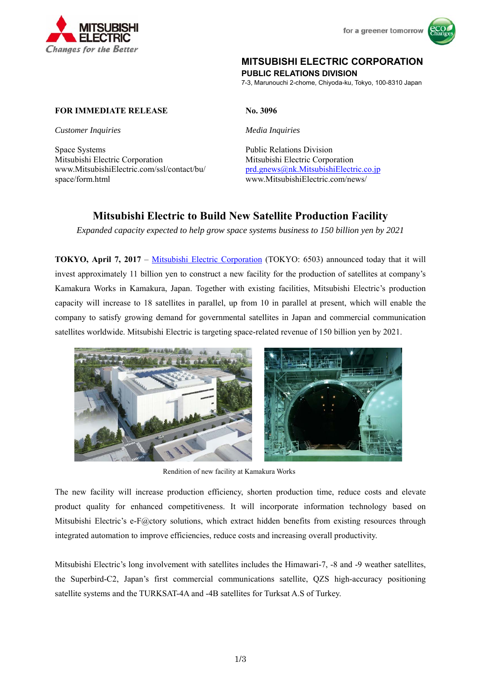



# **MITSUBISHI ELECTRIC CORPORATION**

**PUBLIC RELATIONS DIVISION** 

7-3, Marunouchi 2-chome, Chiyoda-ku, Tokyo, 100-8310 Japan

## **FOR IMMEDIATE RELEASE No. 3096**

*Customer Inquiries Media Inquiries* 

Space Systems Public Relations Division Mitsubishi Electric Corporation Mitsubishi Electric Corporation www.MitsubishiElectric.com/ssl/contact/bu/ space/form.html

prd.gnews@nk.MitsubishiElectric.co.jp www.MitsubishiElectric.com/news/

# **Mitsubishi Electric to Build New Satellite Production Facility**

*Expanded capacity expected to help grow space systems business to 150 billion yen by 2021* 

**TOKYO, April 7, 2017** – Mitsubishi Electric Corporation (TOKYO: 6503) announced today that it will invest approximately 11 billion yen to construct a new facility for the production of satellites at company's Kamakura Works in Kamakura, Japan. Together with existing facilities, Mitsubishi Electric's production capacity will increase to 18 satellites in parallel, up from 10 in parallel at present, which will enable the company to satisfy growing demand for governmental satellites in Japan and commercial communication satellites worldwide. Mitsubishi Electric is targeting space-related revenue of 150 billion yen by 2021.



Rendition of new facility at Kamakura Works

The new facility will increase production efficiency, shorten production time, reduce costs and elevate product quality for enhanced competitiveness. It will incorporate information technology based on Mitsubishi Electric's e-F@ctory solutions, which extract hidden benefits from existing resources through integrated automation to improve efficiencies, reduce costs and increasing overall productivity.

Mitsubishi Electric's long involvement with satellites includes the Himawari-7, -8 and -9 weather satellites, the Superbird-C2, Japan's first commercial communications satellite, QZS high-accuracy positioning satellite systems and the TURKSAT-4A and -4B satellites for Turksat A.S of Turkey.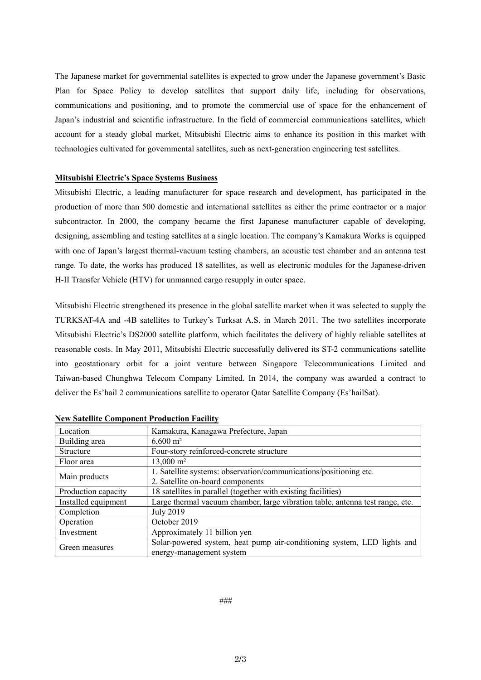The Japanese market for governmental satellites is expected to grow under the Japanese government's Basic Plan for Space Policy to develop satellites that support daily life, including for observations, communications and positioning, and to promote the commercial use of space for the enhancement of Japan's industrial and scientific infrastructure. In the field of commercial communications satellites, which account for a steady global market, Mitsubishi Electric aims to enhance its position in this market with technologies cultivated for governmental satellites, such as next-generation engineering test satellites.

#### **Mitsubishi Electric's Space Systems Business**

Mitsubishi Electric, a leading manufacturer for space research and development, has participated in the production of more than 500 domestic and international satellites as either the prime contractor or a major subcontractor. In 2000, the company became the first Japanese manufacturer capable of developing, designing, assembling and testing satellites at a single location. The company's Kamakura Works is equipped with one of Japan's largest thermal-vacuum testing chambers, an acoustic test chamber and an antenna test range. To date, the works has produced 18 satellites, as well as electronic modules for the Japanese-driven H-II Transfer Vehicle (HTV) for unmanned cargo resupply in outer space.

Mitsubishi Electric strengthened its presence in the global satellite market when it was selected to supply the TURKSAT-4A and -4B satellites to Turkey's Turksat A.S. in March 2011. The two satellites incorporate Mitsubishi Electric's DS2000 satellite platform, which facilitates the delivery of highly reliable satellites at reasonable costs. In May 2011, Mitsubishi Electric successfully delivered its ST-2 communications satellite into geostationary orbit for a joint venture between Singapore Telecommunications Limited and Taiwan-based Chunghwa Telecom Company Limited. In 2014, the company was awarded a contract to deliver the Es'hail 2 communications satellite to operator Qatar Satellite Company (Es'hailSat).

| Location            | Kamakura, Kanagawa Prefecture, Japan                                          |
|---------------------|-------------------------------------------------------------------------------|
| Building area       | $6,600 \text{ m}^2$                                                           |
| <b>Structure</b>    | Four-story reinforced-concrete structure                                      |
| Floor area          | $13,000 \text{ m}^2$                                                          |
| Main products       | 1. Satellite systems: observation/communications/positioning etc.             |
|                     | 2. Satellite on-board components                                              |
| Production capacity | 18 satellites in parallel (together with existing facilities)                 |
| Installed equipment | Large thermal vacuum chamber, large vibration table, antenna test range, etc. |
| Completion          | <b>July 2019</b>                                                              |
| Operation           | October 2019                                                                  |
| Investment          | Approximately 11 billion yen                                                  |
| Green measures      | Solar-powered system, heat pump air-conditioning system, LED lights and       |
|                     | energy-management system                                                      |